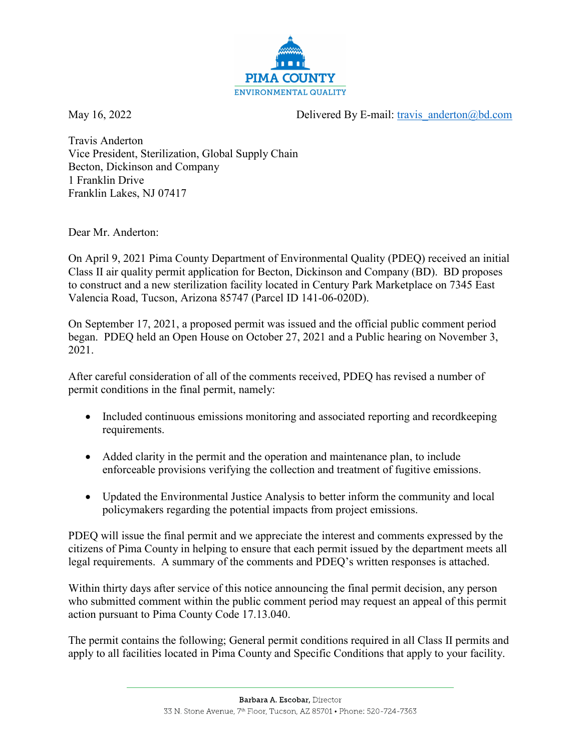

May 16, 2022 Delivered By E-mail: [travis\\_anderton@bd.com](mailto:travis_anderton@bd.com)

Travis Anderton Vice President, Sterilization, Global Supply Chain Becton, Dickinson and Company 1 Franklin Drive Franklin Lakes, NJ 07417

Dear Mr. Anderton:

On April 9, 2021 Pima County Department of Environmental Quality (PDEQ) received an initial Class II air quality permit application for Becton, Dickinson and Company (BD). BD proposes to construct and a new sterilization facility located in Century Park Marketplace on 7345 East Valencia Road, Tucson, Arizona 85747 (Parcel ID 141-06-020D).

On September 17, 2021, a proposed permit was issued and the official public comment period began. PDEQ held an Open House on October 27, 2021 and a Public hearing on November 3, 2021.

After careful consideration of all of the comments received, PDEQ has revised a number of permit conditions in the final permit, namely:

- Included continuous emissions monitoring and associated reporting and recordkeeping requirements.
- Added clarity in the permit and the operation and maintenance plan, to include enforceable provisions verifying the collection and treatment of fugitive emissions.
- Updated the Environmental Justice Analysis to better inform the community and local policymakers regarding the potential impacts from project emissions.

PDEQ will issue the final permit and we appreciate the interest and comments expressed by the citizens of Pima County in helping to ensure that each permit issued by the department meets all legal requirements. A summary of the comments and PDEQ's written responses is attached.

Within thirty days after service of this notice announcing the final permit decision, any person who submitted comment within the public comment period may request an appeal of this permit action pursuant to Pima County Code 17.13.040.

The permit contains the following; General permit conditions required in all Class II permits and apply to all facilities located in Pima County and Specific Conditions that apply to your facility.